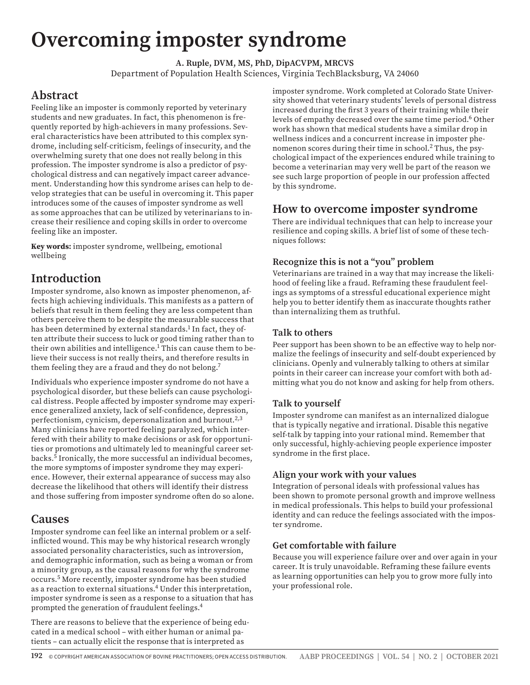# **Overcoming imposter syndrome**

**A. Ruple, DVM, MS, PhD, DipACVPM, MRCVS** Department of Population Health Sciences, Virginia TechBlacksburg, VA 24060

# **Abstract**

Feeling like an imposter is commonly reported by veterinary students and new graduates. In fact, this phenomenon is frequently reported by high-achievers in many professions. Several characteristics have been attributed to this complex syndrome, including self-criticism, feelings of insecurity, and the overwhelming surety that one does not really belong in this profession. The imposter syndrome is also a predictor of psychological distress and can negatively impact career advancement. Understanding how this syndrome arises can help to develop strategies that can be useful in overcoming it. This paper introduces some of the causes of imposter syndrome as well as some approaches that can be utilized by veterinarians to increase their resilience and coping skills in order to overcome feeling like an imposter.

**Key words:** imposter syndrome, wellbeing, emotional wellbeing

# **Introduction**

Imposter syndrome, also known as imposter phenomenon, affects high achieving individuals. This manifests as a pattern of beliefs that result in them feeling they are less competent than others perceive them to be despite the measurable success that has been determined by external standards.<sup>1</sup> In fact, they often attribute their success to luck or good timing rather than to their own abilities and intelligence. $^1$  This can cause them to believe their success is not really theirs, and therefore results in them feeling they are a fraud and they do not belong.7

Individuals who experience imposter syndrome do not have a psychological disorder, but these beliefs can cause psychological distress. People affected by imposter syndrome may experience generalized anxiety, lack of self-confidence, depression, perfectionism, cynicism, depersonalization and burnout.<sup>2,3</sup> Many clinicians have reported feeling paralyzed, which interfered with their ability to make decisions or ask for opportunities or promotions and ultimately led to meaningful career setbacks.5 Ironically, the more successful an individual becomes, the more symptoms of imposter syndrome they may experience. However, their external appearance of success may also decrease the likelihood that others will identify their distress and those suffering from imposter syndrome often do so alone.

### **Causes**

Imposter syndrome can feel like an internal problem or a selfinflicted wound. This may be why historical research wrongly associated personality characteristics, such as introversion, and demographic information, such as being a woman or from a minority group, as the causal reasons for why the syndrome occurs.5 More recently, imposter syndrome has been studied as a reaction to external situations.4 Under this interpretation, imposter syndrome is seen as a response to a situation that has prompted the generation of fraudulent feelings.4

There are reasons to believe that the experience of being educated in a medical school – with either human or animal patients – can actually elicit the response that is interpreted as

imposter syndrome. Work completed at Colorado State University showed that veterinary students' levels of personal distress increased during the first 3 years of their training while their levels of empathy decreased over the same time period.<sup>6</sup> Other work has shown that medical students have a similar drop in wellness indices and a concurrent increase in imposter phenomenon scores during their time in school.<sup>2</sup> Thus, the psychological impact of the experiences endured while training to become a veterinarian may very well be part of the reason we see such large proportion of people in our profession affected by this syndrome.

# **How to overcome imposter syndrome**

There are individual techniques that can help to increase your resilience and coping skills. A brief list of some of these techniques follows:

#### **Recognize this is not a "you" problem**

Veterinarians are trained in a way that may increase the likelihood of feeling like a fraud. Reframing these fraudulent feelings as symptoms of a stressful educational experience might help you to better identify them as inaccurate thoughts rather than internalizing them as truthful.

#### **Talk to others**

Peer support has been shown to be an effective way to help normalize the feelings of insecurity and self-doubt experienced by clinicians. Openly and vulnerably talking to others at similar points in their career can increase your comfort with both admitting what you do not know and asking for help from others.

#### **Talk to yourself**

Imposter syndrome can manifest as an internalized dialogue that is typically negative and irrational. Disable this negative self-talk by tapping into your rational mind. Remember that only successful, highly-achieving people experience imposter syndrome in the first place.

#### **Align your work with your values**

Integration of personal ideals with professional values has been shown to promote personal growth and improve wellness in medical professionals. This helps to build your professional identity and can reduce the feelings associated with the imposter syndrome.

#### **Get comfortable with failure**

Because you will experience failure over and over again in your career. It is truly unavoidable. Reframing these failure events as learning opportunities can help you to grow more fully into your professional role.